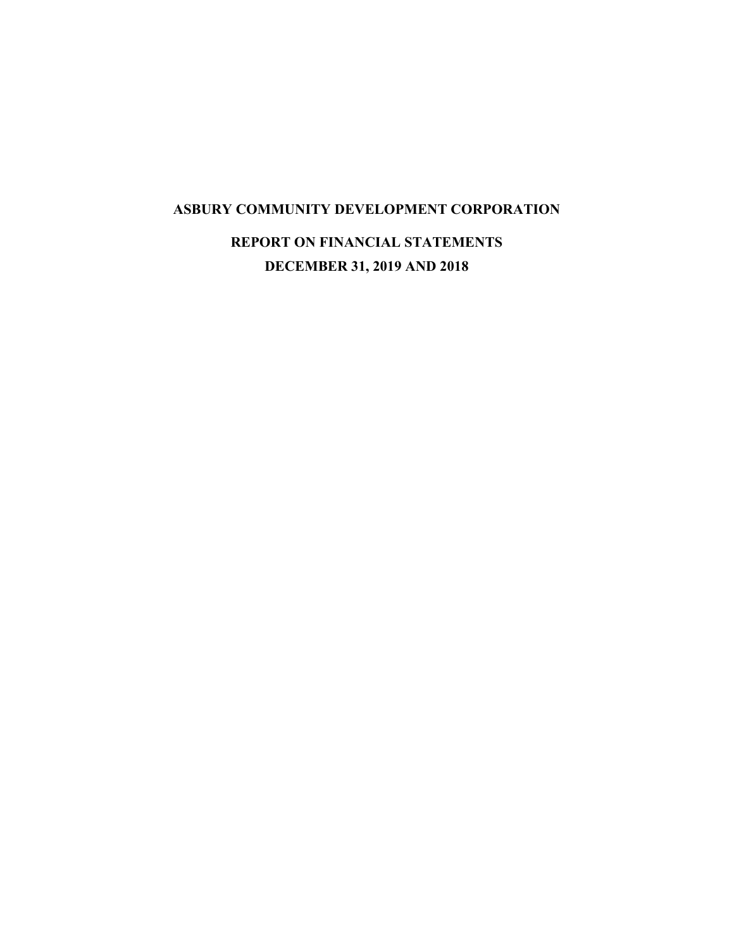### **ASBURY COMMUNITY DEVELOPMENT CORPORATION**

# **REPORT ON FINANCIAL STATEMENTS DECEMBER 31, 2019 AND 2018**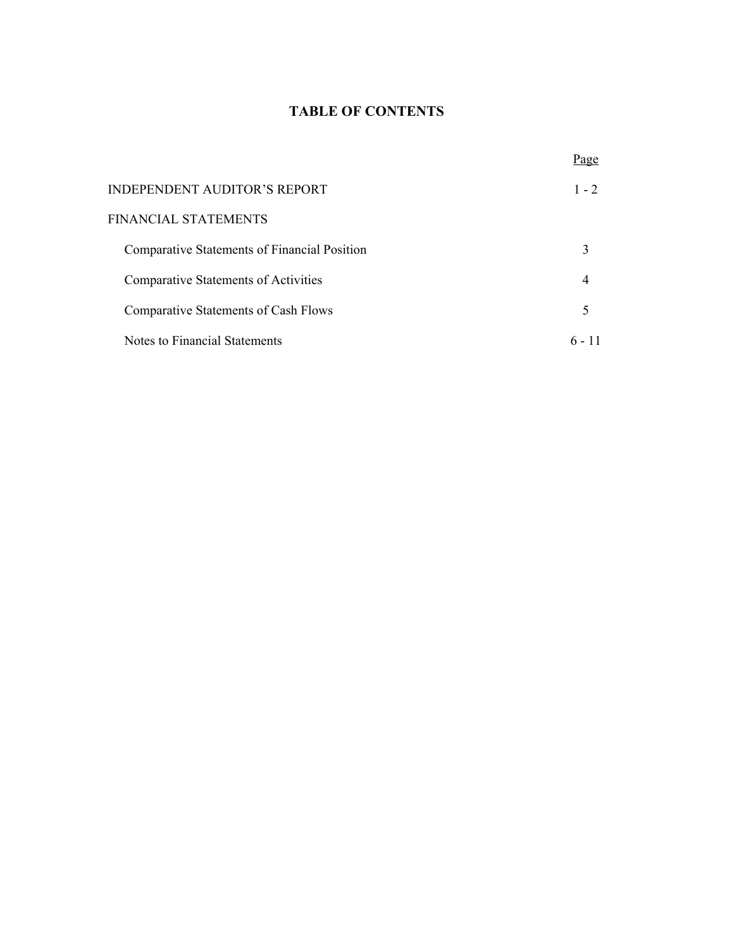## **TABLE OF CONTENTS**

|                                                     | <u>Page</u> |
|-----------------------------------------------------|-------------|
| <b>INDEPENDENT AUDITOR'S REPORT</b>                 | $1 - 2$     |
| FINANCIAL STATEMENTS                                |             |
| <b>Comparative Statements of Financial Position</b> |             |
| <b>Comparative Statements of Activities</b>         |             |
| Comparative Statements of Cash Flows                | 5           |
| Notes to Financial Statements                       | 11          |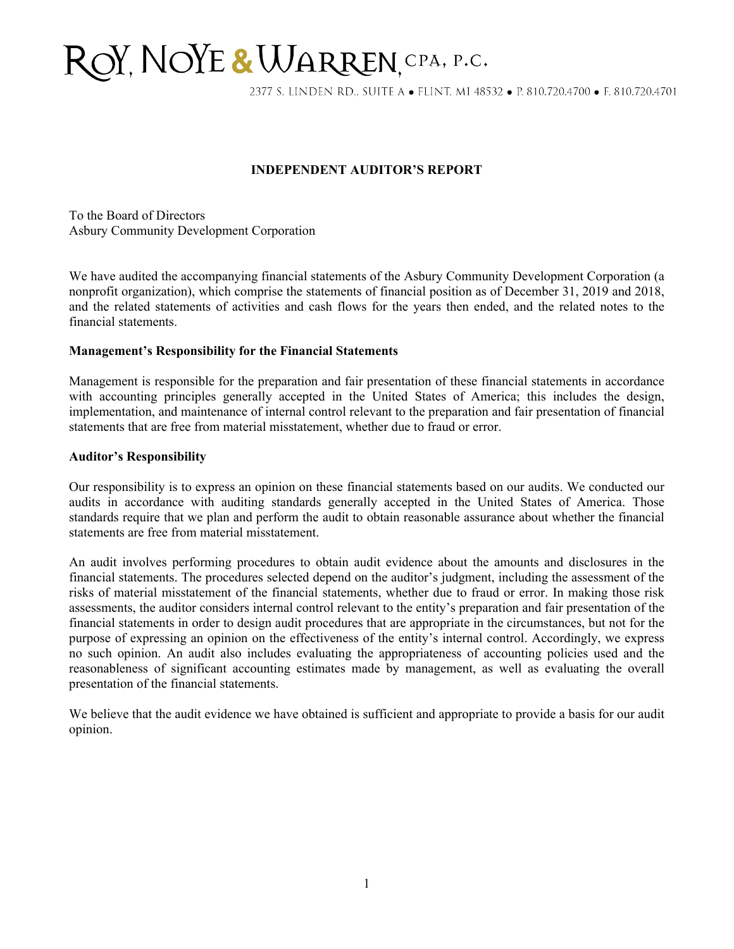# ROY, NOYE & WARREN, CPA, P.C.

2377 S. LINDEN RD., SUITE A · FLINT, MI 48532 · P. 810.720.4700 · F. 810.720.4701

#### **INDEPENDENT AUDITOR'S REPORT**

To the Board of Directors Asbury Community Development Corporation

We have audited the accompanying financial statements of the Asbury Community Development Corporation (a nonprofit organization), which comprise the statements of financial position as of December 31, 2019 and 2018, and the related statements of activities and cash flows for the years then ended, and the related notes to the financial statements.

#### **Management's Responsibility for the Financial Statements**

Management is responsible for the preparation and fair presentation of these financial statements in accordance with accounting principles generally accepted in the United States of America; this includes the design, implementation, and maintenance of internal control relevant to the preparation and fair presentation of financial statements that are free from material misstatement, whether due to fraud or error.

#### **Auditor's Responsibility**

Our responsibility is to express an opinion on these financial statements based on our audits. We conducted our audits in accordance with auditing standards generally accepted in the United States of America. Those standards require that we plan and perform the audit to obtain reasonable assurance about whether the financial statements are free from material misstatement.

An audit involves performing procedures to obtain audit evidence about the amounts and disclosures in the financial statements. The procedures selected depend on the auditor's judgment, including the assessment of the risks of material misstatement of the financial statements, whether due to fraud or error. In making those risk assessments, the auditor considers internal control relevant to the entity's preparation and fair presentation of the financial statements in order to design audit procedures that are appropriate in the circumstances, but not for the purpose of expressing an opinion on the effectiveness of the entity's internal control. Accordingly, we express no such opinion. An audit also includes evaluating the appropriateness of accounting policies used and the reasonableness of significant accounting estimates made by management, as well as evaluating the overall presentation of the financial statements.

We believe that the audit evidence we have obtained is sufficient and appropriate to provide a basis for our audit opinion.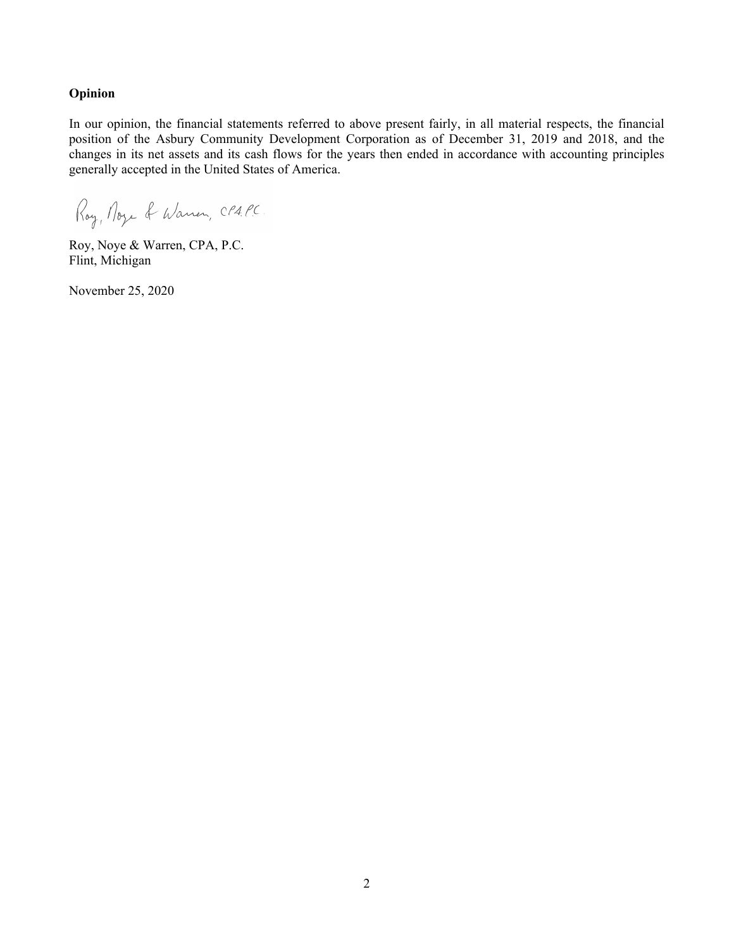#### **Opinion**

In our opinion, the financial statements referred to above present fairly, in all material respects, the financial position of the Asbury Community Development Corporation as of December 31, 2019 and 2018, and the changes in its net assets and its cash flows for the years then ended in accordance with accounting principles generally accepted in the United States of America.

Roy, Noze & Warren, CP4.P.C

Roy, Noye & Warren, CPA, P.C. Flint, Michigan

November 25, 2020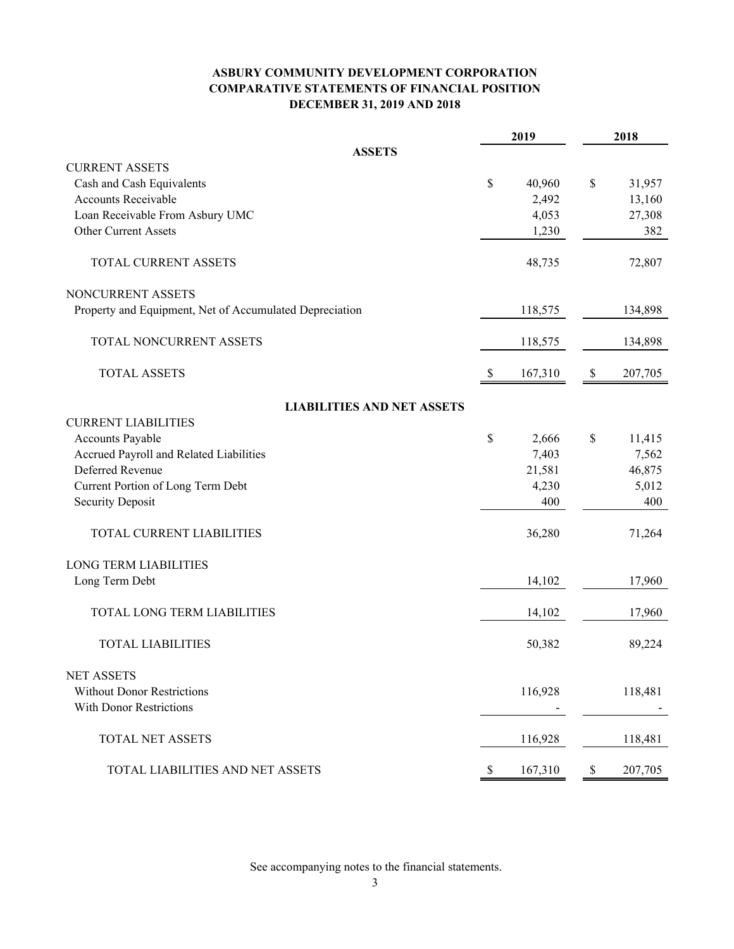#### **ASBURY COMMUNITY DEVELOPMENT CORPORATION COMPARATIVE STATEMENTS OF FINANCIAL POSITION DECEMBER 31, 2019 AND 2018**

|                                                         | 2019          | 2018          |
|---------------------------------------------------------|---------------|---------------|
| <b>ASSETS</b>                                           |               |               |
| <b>CURRENT ASSETS</b>                                   |               |               |
| Cash and Cash Equivalents                               | \$<br>40,960  | \$<br>31,957  |
| Accounts Receivable                                     | 2,492         | 13,160        |
| Loan Receivable From Asbury UMC                         | 4,053         | 27,308        |
| <b>Other Current Assets</b>                             | 1,230         | 382           |
| TOTAL CURRENT ASSETS                                    | 48,735        | 72,807        |
| NONCURRENT ASSETS                                       |               |               |
| Property and Equipment, Net of Accumulated Depreciation | 118,575       | 134,898       |
| TOTAL NONCURRENT ASSETS                                 | 118,575       | 134,898       |
| <b>TOTAL ASSETS</b>                                     | \$<br>167,310 | \$<br>207,705 |
| <b>LIABILITIES AND NET ASSETS</b>                       |               |               |
| <b>CURRENT LIABILITIES</b>                              |               |               |
| Accounts Payable                                        | \$<br>2,666   | \$<br>11,415  |
| Accrued Payroll and Related Liabilities                 | 7,403         | 7,562         |
| Deferred Revenue                                        | 21,581        | 46,875        |
| Current Portion of Long Term Debt                       | 4,230         | 5,012         |
| <b>Security Deposit</b>                                 | 400           | 400           |
| TOTAL CURRENT LIABILITIES                               | 36,280        | 71,264        |
| <b>LONG TERM LIABILITIES</b>                            |               |               |
| Long Term Debt                                          | 14,102        | 17,960        |
| TOTAL LONG TERM LIABILITIES                             | 14,102        | 17,960        |
| <b>TOTAL LIABILITIES</b>                                | 50,382        | 89,224        |
| <b>NET ASSETS</b>                                       |               |               |
| <b>Without Donor Restrictions</b>                       | 116,928       | 118,481       |
| With Donor Restrictions                                 |               |               |
| TOTAL NET ASSETS                                        | 116,928       | 118,481       |
| TOTAL LIABILITIES AND NET ASSETS                        | \$<br>167,310 | \$<br>207,705 |

See accompanying notes to the financial statements.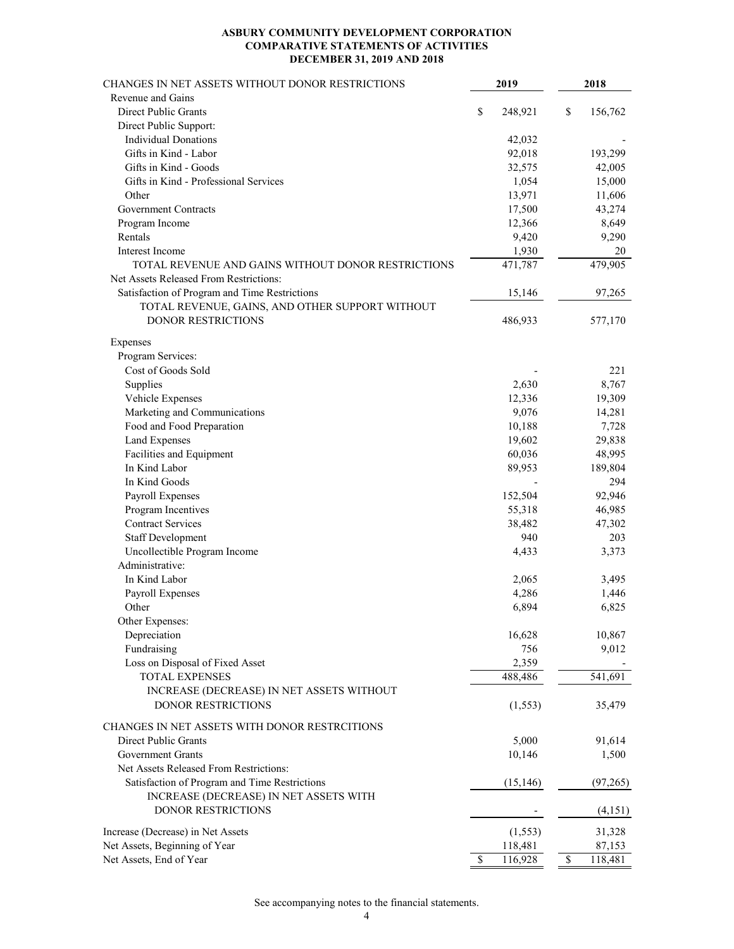#### **ASBURY COMMUNITY DEVELOPMENT CORPORATION COMPARATIVE STATEMENTS OF ACTIVITIES DECEMBER 31, 2019 AND 2018**

| CHANGES IN NET ASSETS WITHOUT DONOR RESTRICTIONS   | 2019          | 2018          |
|----------------------------------------------------|---------------|---------------|
| Revenue and Gains                                  |               |               |
| Direct Public Grants                               | \$<br>248,921 | \$<br>156,762 |
| Direct Public Support:                             |               |               |
| <b>Individual Donations</b>                        | 42,032        |               |
| Gifts in Kind - Labor                              | 92,018        | 193,299       |
| Gifts in Kind - Goods                              | 32,575        | 42,005        |
| Gifts in Kind - Professional Services              | 1,054         | 15,000        |
| Other                                              | 13,971        | 11,606        |
| <b>Government Contracts</b>                        | 17,500        | 43,274        |
| Program Income                                     | 12,366        | 8,649         |
| Rentals                                            | 9,420         | 9,290         |
| Interest Income                                    | 1,930         | 20            |
| TOTAL REVENUE AND GAINS WITHOUT DONOR RESTRICTIONS | 471,787       | 479,905       |
| Net Assets Released From Restrictions:             |               |               |
| Satisfaction of Program and Time Restrictions      | 15,146        | 97,265        |
| TOTAL REVENUE, GAINS, AND OTHER SUPPORT WITHOUT    |               |               |
| <b>DONOR RESTRICTIONS</b>                          | 486,933       | 577,170       |
| Expenses                                           |               |               |
| Program Services:                                  |               |               |
| Cost of Goods Sold                                 |               | 221           |
| Supplies                                           | 2,630         | 8,767         |
| Vehicle Expenses                                   | 12,336        | 19,309        |
| Marketing and Communications                       | 9,076         | 14,281        |
| Food and Food Preparation                          | 10,188        | 7,728         |
| Land Expenses                                      | 19,602        | 29,838        |
| Facilities and Equipment                           | 60,036        | 48,995        |
| In Kind Labor                                      | 89,953        | 189,804       |
| In Kind Goods                                      |               | 294           |
| Payroll Expenses                                   | 152,504       | 92,946        |
| Program Incentives                                 | 55,318        | 46,985        |
| <b>Contract Services</b>                           | 38,482        | 47,302        |
| <b>Staff Development</b>                           | 940           | 203           |
| Uncollectible Program Income                       | 4,433         | 3,373         |
| Administrative:                                    |               |               |
| In Kind Labor                                      | 2,065         | 3,495         |
| Payroll Expenses                                   | 4,286         | 1,446         |
| Other                                              | 6,894         | 6,825         |
| Other Expenses:                                    |               |               |
| Depreciation                                       | 16,628        | 10,867        |
| Fundraising                                        | 756           | 9,012         |
| Loss on Disposal of Fixed Asset                    | 2,359         |               |
| TOTAL EXPENSES                                     | 488,486       | 541,691       |
| INCREASE (DECREASE) IN NET ASSETS WITHOUT          |               |               |
| <b>DONOR RESTRICTIONS</b>                          | (1, 553)      | 35,479        |
|                                                    |               |               |
| CHANGES IN NET ASSETS WITH DONOR RESTRCITIONS      |               |               |
| Direct Public Grants                               | 5,000         | 91,614        |
| Government Grants                                  | 10,146        | 1,500         |
| Net Assets Released From Restrictions:             |               |               |
| Satisfaction of Program and Time Restrictions      | (15, 146)     | (97,265)      |
| INCREASE (DECREASE) IN NET ASSETS WITH             |               |               |
| <b>DONOR RESTRICTIONS</b>                          |               | (4,151)       |
|                                                    |               |               |
| Increase (Decrease) in Net Assets                  | (1, 553)      | 31,328        |
| Net Assets, Beginning of Year                      | 118,481       | 87,153        |
| Net Assets, End of Year                            | \$<br>116,928 | \$<br>118,481 |

See accompanying notes to the financial statements.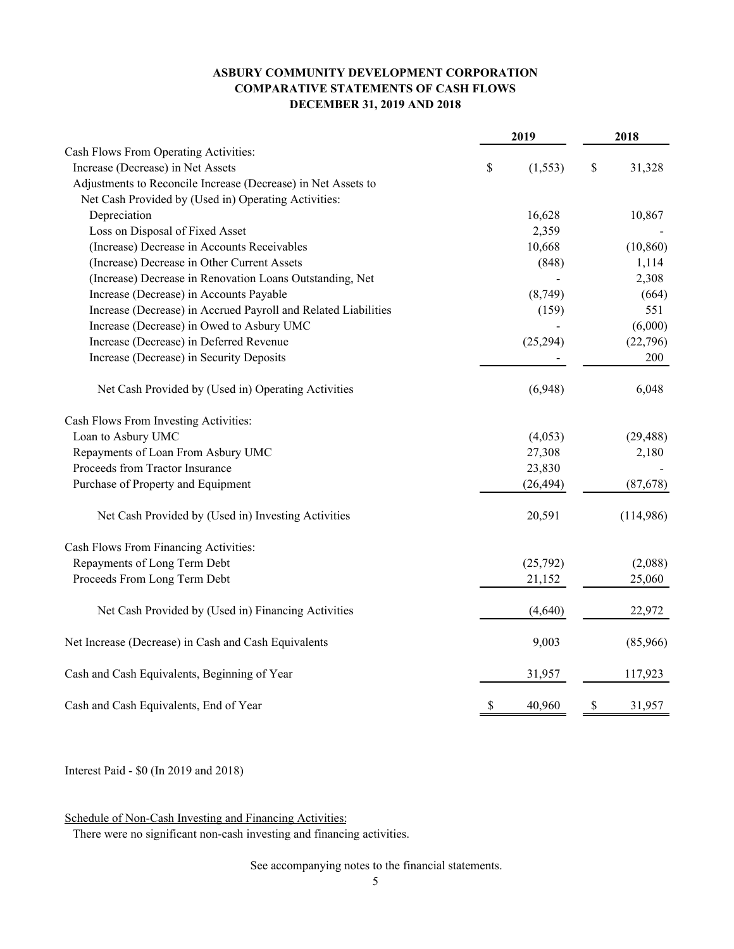#### **ASBURY COMMUNITY DEVELOPMENT CORPORATION COMPARATIVE STATEMENTS OF CASH FLOWS DECEMBER 31, 2019 AND 2018**

|                                                                | 2019 |           | 2018 |           |
|----------------------------------------------------------------|------|-----------|------|-----------|
| Cash Flows From Operating Activities:                          |      |           |      |           |
| Increase (Decrease) in Net Assets                              | \$   | (1, 553)  | \$   | 31,328    |
| Adjustments to Reconcile Increase (Decrease) in Net Assets to  |      |           |      |           |
| Net Cash Provided by (Used in) Operating Activities:           |      |           |      |           |
| Depreciation                                                   |      | 16,628    |      | 10,867    |
| Loss on Disposal of Fixed Asset                                |      | 2,359     |      |           |
| (Increase) Decrease in Accounts Receivables                    |      | 10,668    |      | (10, 860) |
| (Increase) Decrease in Other Current Assets                    |      | (848)     |      | 1,114     |
| (Increase) Decrease in Renovation Loans Outstanding, Net       |      |           |      | 2,308     |
| Increase (Decrease) in Accounts Payable                        |      | (8,749)   |      | (664)     |
| Increase (Decrease) in Accrued Payroll and Related Liabilities |      | (159)     |      | 551       |
| Increase (Decrease) in Owed to Asbury UMC                      |      |           |      | (6,000)   |
| Increase (Decrease) in Deferred Revenue                        |      | (25, 294) |      | (22,796)  |
| Increase (Decrease) in Security Deposits                       |      |           |      | 200       |
| Net Cash Provided by (Used in) Operating Activities            |      | (6,948)   |      | 6,048     |
| Cash Flows From Investing Activities:                          |      |           |      |           |
| Loan to Asbury UMC                                             |      | (4,053)   |      | (29, 488) |
| Repayments of Loan From Asbury UMC                             |      | 27,308    |      | 2,180     |
| Proceeds from Tractor Insurance                                |      | 23,830    |      |           |
| Purchase of Property and Equipment                             |      | (26, 494) |      | (87, 678) |
| Net Cash Provided by (Used in) Investing Activities            |      | 20,591    |      | (114,986) |
| Cash Flows From Financing Activities:                          |      |           |      |           |
| Repayments of Long Term Debt                                   |      | (25,792)  |      | (2,088)   |
| Proceeds From Long Term Debt                                   |      | 21,152    |      | 25,060    |
| Net Cash Provided by (Used in) Financing Activities            |      | (4,640)   |      | 22,972    |
| Net Increase (Decrease) in Cash and Cash Equivalents           |      | 9,003     |      | (85,966)  |
| Cash and Cash Equivalents, Beginning of Year                   |      | 31,957    |      | 117,923   |
| Cash and Cash Equivalents, End of Year                         | S    | 40,960    | \$   | 31,957    |

Interest Paid - \$0 (In 2019 and 2018)

Schedule of Non-Cash Investing and Financing Activities:

There were no significant non-cash investing and financing activities.

See accompanying notes to the financial statements.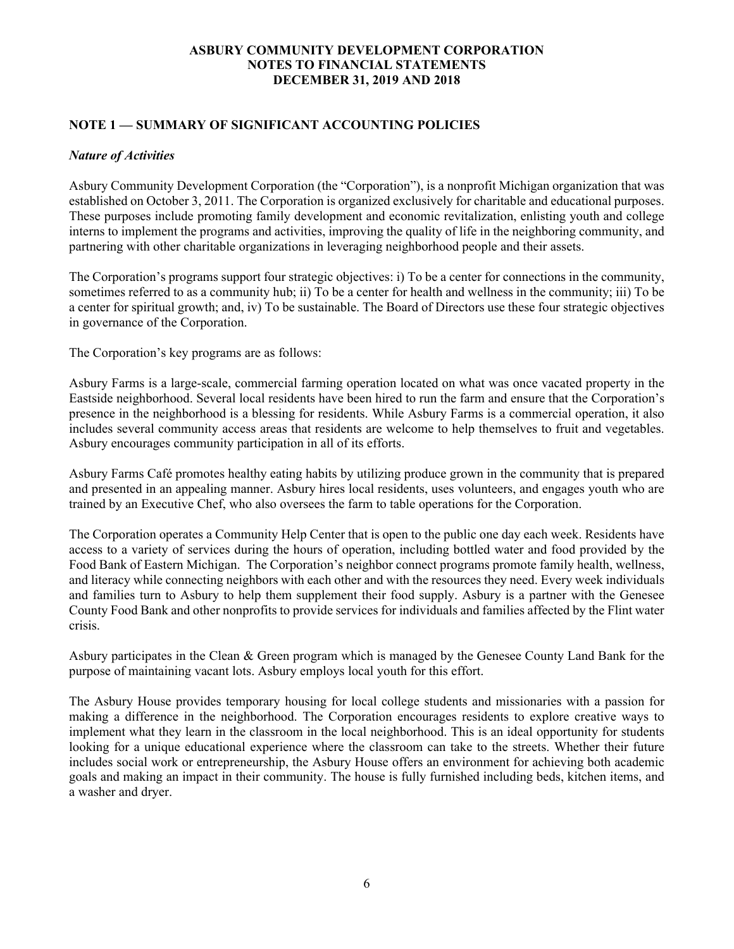#### **NOTE 1 — SUMMARY OF SIGNIFICANT ACCOUNTING POLICIES**

#### *Nature of Activities*

Asbury Community Development Corporation (the "Corporation"), is a nonprofit Michigan organization that was established on October 3, 2011. The Corporation is organized exclusively for charitable and educational purposes. These purposes include promoting family development and economic revitalization, enlisting youth and college interns to implement the programs and activities, improving the quality of life in the neighboring community, and partnering with other charitable organizations in leveraging neighborhood people and their assets.

The Corporation's programs support four strategic objectives: i) To be a center for connections in the community, sometimes referred to as a community hub; ii) To be a center for health and wellness in the community; iii) To be a center for spiritual growth; and, iv) To be sustainable. The Board of Directors use these four strategic objectives in governance of the Corporation.

The Corporation's key programs are as follows:

Asbury Farms is a large-scale, commercial farming operation located on what was once vacated property in the Eastside neighborhood. Several local residents have been hired to run the farm and ensure that the Corporation's presence in the neighborhood is a blessing for residents. While Asbury Farms is a commercial operation, it also includes several community access areas that residents are welcome to help themselves to fruit and vegetables. Asbury encourages community participation in all of its efforts.

Asbury Farms Café promotes healthy eating habits by utilizing produce grown in the community that is prepared and presented in an appealing manner. Asbury hires local residents, uses volunteers, and engages youth who are trained by an Executive Chef, who also oversees the farm to table operations for the Corporation.

The Corporation operates a Community Help Center that is open to the public one day each week. Residents have access to a variety of services during the hours of operation, including bottled water and food provided by the Food Bank of Eastern Michigan. The Corporation's neighbor connect programs promote family health, wellness, and literacy while connecting neighbors with each other and with the resources they need. Every week individuals and families turn to Asbury to help them supplement their food supply. Asbury is a partner with the Genesee County Food Bank and other nonprofits to provide services for individuals and families affected by the Flint water crisis.

Asbury participates in the Clean & Green program which is managed by the Genesee County Land Bank for the purpose of maintaining vacant lots. Asbury employs local youth for this effort.

The Asbury House provides temporary housing for local college students and missionaries with a passion for making a difference in the neighborhood. The Corporation encourages residents to explore creative ways to implement what they learn in the classroom in the local neighborhood. This is an ideal opportunity for students looking for a unique educational experience where the classroom can take to the streets. Whether their future includes social work or entrepreneurship, the Asbury House offers an environment for achieving both academic goals and making an impact in their community. The house is fully furnished including beds, kitchen items, and a washer and dryer.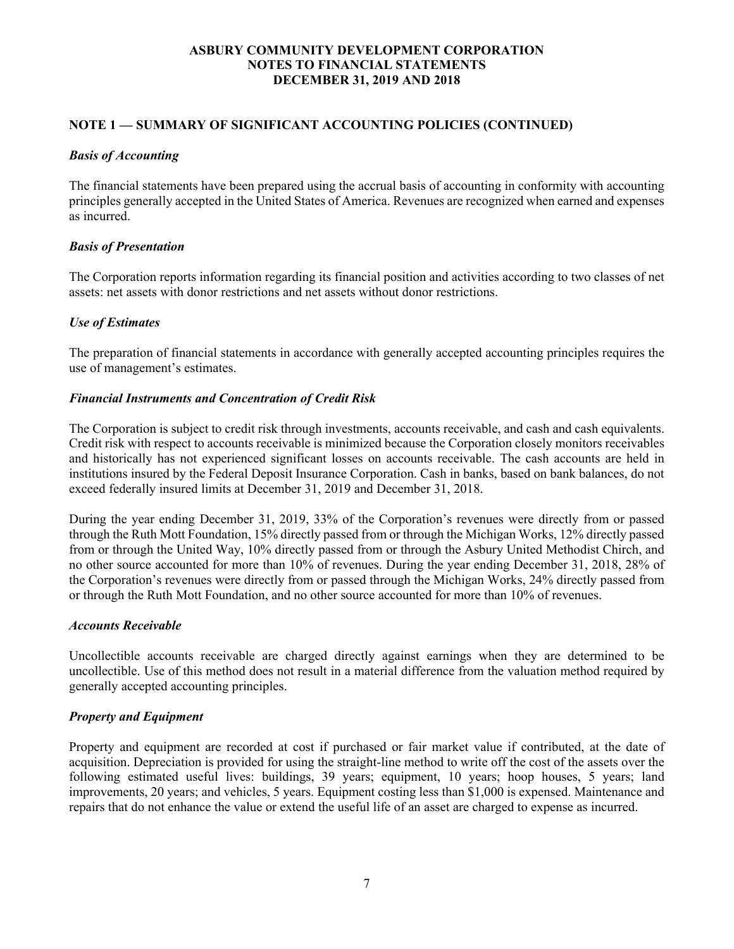#### **NOTE 1 — SUMMARY OF SIGNIFICANT ACCOUNTING POLICIES (CONTINUED)**

#### *Basis of Accounting*

The financial statements have been prepared using the accrual basis of accounting in conformity with accounting principles generally accepted in the United States of America. Revenues are recognized when earned and expenses as incurred.

#### *Basis of Presentation*

The Corporation reports information regarding its financial position and activities according to two classes of net assets: net assets with donor restrictions and net assets without donor restrictions.

#### *Use of Estimates*

The preparation of financial statements in accordance with generally accepted accounting principles requires the use of management's estimates.

#### *Financial Instruments and Concentration of Credit Risk*

The Corporation is subject to credit risk through investments, accounts receivable, and cash and cash equivalents. Credit risk with respect to accounts receivable is minimized because the Corporation closely monitors receivables and historically has not experienced significant losses on accounts receivable. The cash accounts are held in institutions insured by the Federal Deposit Insurance Corporation. Cash in banks, based on bank balances, do not exceed federally insured limits at December 31, 2019 and December 31, 2018.

During the year ending December 31, 2019, 33% of the Corporation's revenues were directly from or passed through the Ruth Mott Foundation, 15% directly passed from or through the Michigan Works, 12% directly passed from or through the United Way, 10% directly passed from or through the Asbury United Methodist Chirch, and no other source accounted for more than 10% of revenues. During the year ending December 31, 2018, 28% of the Corporation's revenues were directly from or passed through the Michigan Works, 24% directly passed from or through the Ruth Mott Foundation, and no other source accounted for more than 10% of revenues.

#### *Accounts Receivable*

Uncollectible accounts receivable are charged directly against earnings when they are determined to be uncollectible. Use of this method does not result in a material difference from the valuation method required by generally accepted accounting principles.

#### *Property and Equipment*

Property and equipment are recorded at cost if purchased or fair market value if contributed, at the date of acquisition. Depreciation is provided for using the straight-line method to write off the cost of the assets over the following estimated useful lives: buildings, 39 years; equipment, 10 years; hoop houses, 5 years; land improvements, 20 years; and vehicles, 5 years. Equipment costing less than \$1,000 is expensed. Maintenance and repairs that do not enhance the value or extend the useful life of an asset are charged to expense as incurred.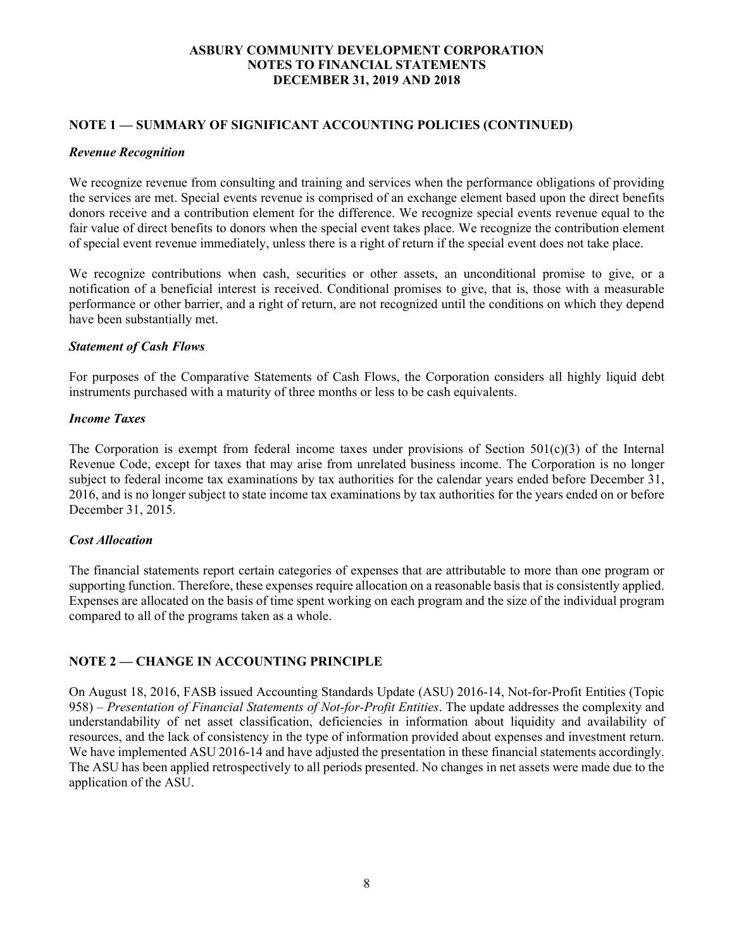#### **NOTE 1 — SUMMARY OF SIGNIFICANT ACCOUNTING POLICIES (CONTINUED)**

#### *Revenue Recognition*

We recognize revenue from consulting and training and services when the performance obligations of providing the services are met. Special events revenue is comprised of an exchange element based upon the direct benefits donors receive and a contribution element for the difference. We recognize special events revenue equal to the fair value of direct benefits to donors when the special event takes place. We recognize the contribution element of special event revenue immediately, unless there is a right of return if the special event does not take place.

We recognize contributions when cash, securities or other assets, an unconditional promise to give, or a notification of a beneficial interest is received. Conditional promises to give, that is, those with a measurable performance or other barrier, and a right of return, are not recognized until the conditions on which they depend have been substantially met.

#### *Statement of Cash Flows*

For purposes of the Comparative Statements of Cash Flows, the Corporation considers all highly liquid debt instruments purchased with a maturity of three months or less to be cash equivalents.

#### *Income Taxes*

The Corporation is exempt from federal income taxes under provisions of Section  $501(c)(3)$  of the Internal Revenue Code, except for taxes that may arise from unrelated business income. The Corporation is no longer subject to federal income tax examinations by tax authorities for the calendar years ended before December 31, 2016, and is no longer subject to state income tax examinations by tax authorities for the years ended on or before December 31, 2015.

#### *Cost Allocation*

The financial statements report certain categories of expenses that are attributable to more than one program or supporting function. Therefore, these expenses require allocation on a reasonable basis that is consistently applied. Expenses are allocated on the basis of time spent working on each program and the size of the individual program compared to all of the programs taken as a whole.

#### **NOTE 2 — CHANGE IN ACCOUNTING PRINCIPLE**

On August 18, 2016, FASB issued Accounting Standards Update (ASU) 2016-14, Not-for-Profit Entities (Topic 958) – *Presentation of Financial Statements of Not-for-Profit Entities*. The update addresses the complexity and understandability of net asset classification, deficiencies in information about liquidity and availability of resources, and the lack of consistency in the type of information provided about expenses and investment return. We have implemented ASU 2016-14 and have adjusted the presentation in these financial statements accordingly. The ASU has been applied retrospectively to all periods presented. No changes in net assets were made due to the application of the ASU.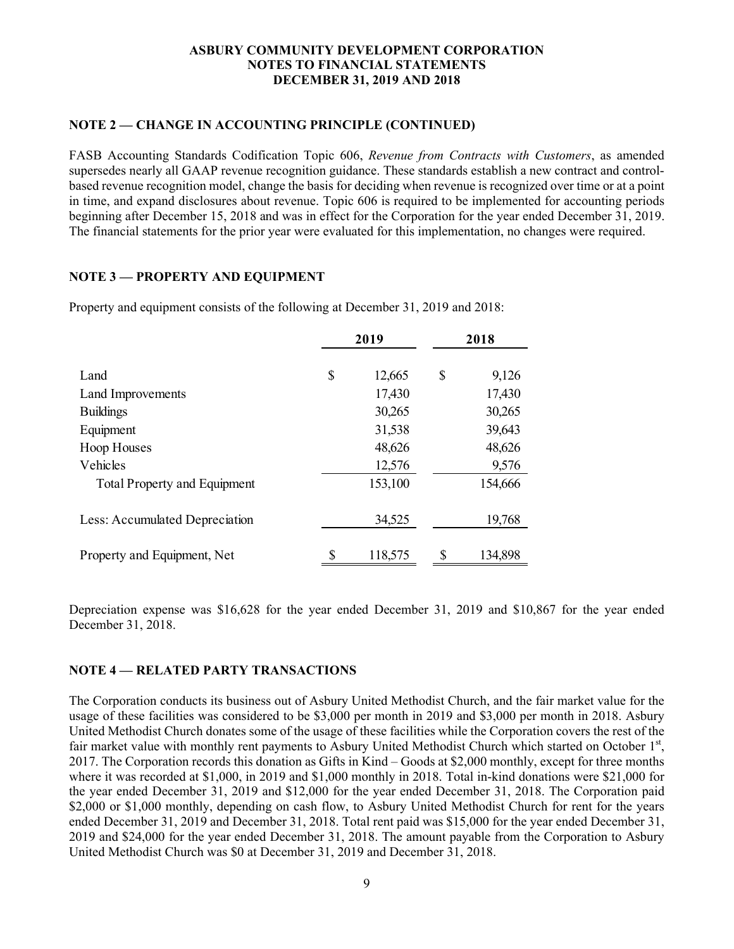#### **NOTE 2 — CHANGE IN ACCOUNTING PRINCIPLE (CONTINUED)**

FASB Accounting Standards Codification Topic 606, *Revenue from Contracts with Customers*, as amended supersedes nearly all GAAP revenue recognition guidance. These standards establish a new contract and controlbased revenue recognition model, change the basis for deciding when revenue is recognized over time or at a point in time, and expand disclosures about revenue. Topic 606 is required to be implemented for accounting periods beginning after December 15, 2018 and was in effect for the Corporation for the year ended December 31, 2019. The financial statements for the prior year were evaluated for this implementation, no changes were required.

#### **NOTE 3 — PROPERTY AND EQUIPMENT**

Property and equipment consists of the following at December 31, 2019 and 2018:

|                                     | 2019 |         | 2018 |         |
|-------------------------------------|------|---------|------|---------|
| Land                                | \$   | 12,665  | \$   | 9,126   |
| Land Improvements                   |      | 17,430  |      | 17,430  |
| <b>Buildings</b>                    |      | 30,265  |      | 30,265  |
| Equipment                           |      | 31,538  |      | 39,643  |
| Hoop Houses                         |      | 48,626  |      | 48,626  |
| Vehicles                            |      | 12,576  |      | 9,576   |
| <b>Total Property and Equipment</b> |      | 153,100 |      | 154,666 |
| Less: Accumulated Depreciation      |      | 34,525  |      | 19,768  |
| Property and Equipment, Net         | \$   | 118,575 | \$   | 134,898 |

Depreciation expense was \$16,628 for the year ended December 31, 2019 and \$10,867 for the year ended December 31, 2018.

#### **NOTE 4 — RELATED PARTY TRANSACTIONS**

The Corporation conducts its business out of Asbury United Methodist Church, and the fair market value for the usage of these facilities was considered to be \$3,000 per month in 2019 and \$3,000 per month in 2018. Asbury United Methodist Church donates some of the usage of these facilities while the Corporation covers the rest of the fair market value with monthly rent payments to Asbury United Methodist Church which started on October 1<sup>st</sup>, 2017. The Corporation records this donation as Gifts in Kind – Goods at \$2,000 monthly, except for three months where it was recorded at \$1,000, in 2019 and \$1,000 monthly in 2018. Total in-kind donations were \$21,000 for the year ended December 31, 2019 and \$12,000 for the year ended December 31, 2018. The Corporation paid \$2,000 or \$1,000 monthly, depending on cash flow, to Asbury United Methodist Church for rent for the years ended December 31, 2019 and December 31, 2018. Total rent paid was \$15,000 for the year ended December 31, 2019 and \$24,000 for the year ended December 31, 2018. The amount payable from the Corporation to Asbury United Methodist Church was \$0 at December 31, 2019 and December 31, 2018.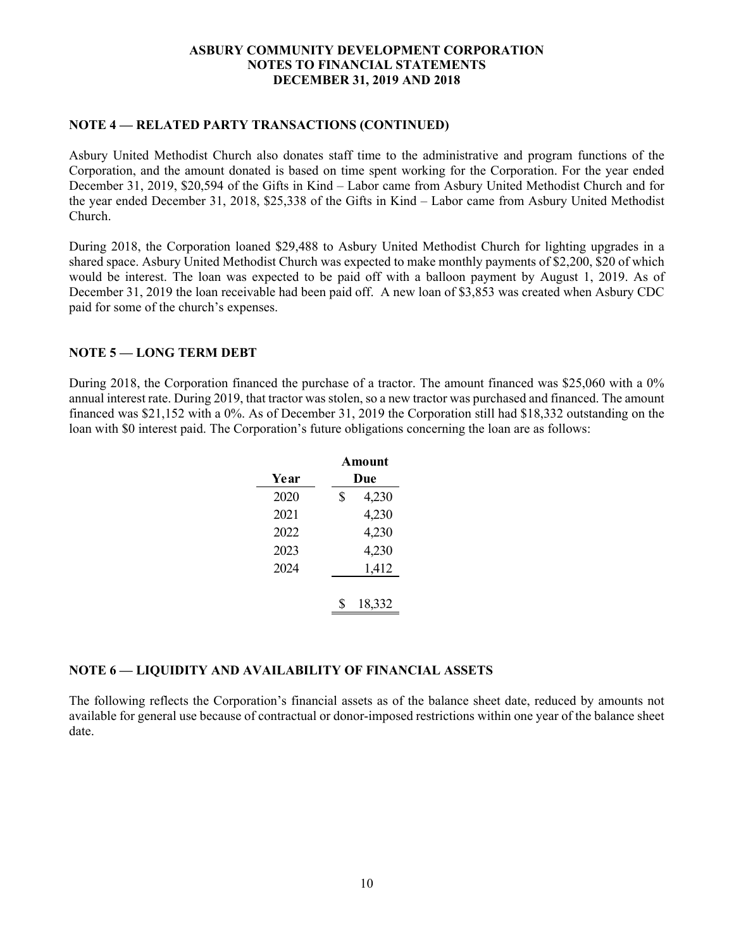#### **NOTE 4 — RELATED PARTY TRANSACTIONS (CONTINUED)**

Asbury United Methodist Church also donates staff time to the administrative and program functions of the Corporation, and the amount donated is based on time spent working for the Corporation. For the year ended December 31, 2019, \$20,594 of the Gifts in Kind – Labor came from Asbury United Methodist Church and for the year ended December 31, 2018, \$25,338 of the Gifts in Kind – Labor came from Asbury United Methodist Church.

During 2018, the Corporation loaned \$29,488 to Asbury United Methodist Church for lighting upgrades in a shared space. Asbury United Methodist Church was expected to make monthly payments of \$2,200, \$20 of which would be interest. The loan was expected to be paid off with a balloon payment by August 1, 2019. As of December 31, 2019 the loan receivable had been paid off. A new loan of \$3,853 was created when Asbury CDC paid for some of the church's expenses.

#### **NOTE 5 — LONG TERM DEBT**

During 2018, the Corporation financed the purchase of a tractor. The amount financed was \$25,060 with a 0% annual interest rate. During 2019, that tractor was stolen, so a new tractor was purchased and financed. The amount financed was \$21,152 with a 0%. As of December 31, 2019 the Corporation still had \$18,332 outstanding on the loan with \$0 interest paid. The Corporation's future obligations concerning the loan are as follows:

|      | Amount      |  |  |  |
|------|-------------|--|--|--|
| Year | Due         |  |  |  |
| 2020 | \$<br>4,230 |  |  |  |
| 2021 | 4,230       |  |  |  |
| 2022 | 4,230       |  |  |  |
| 2023 | 4,230       |  |  |  |
| 2024 | 1,412       |  |  |  |
|      |             |  |  |  |
|      | 18,332<br>S |  |  |  |

#### **NOTE 6 — LIQUIDITY AND AVAILABILITY OF FINANCIAL ASSETS**

The following reflects the Corporation's financial assets as of the balance sheet date, reduced by amounts not available for general use because of contractual or donor-imposed restrictions within one year of the balance sheet date.